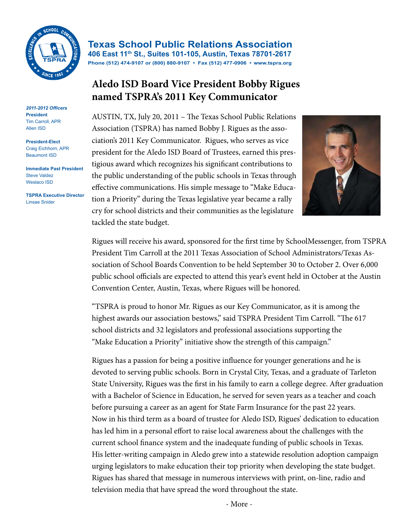

*2011-2012 Officers* **President** Tim Carroll, APR Allen ISD

**President-Elect** Craig Eichhorn, APR Beaumont ISD

**Immediate Past President** Steve Valdez Weslaco ISD

**TSPRA Executive Director** Linsae Snider

**Texas School Public Relations Association 406 East 11th St., Suites 101-105, Austin, Texas 78701-2617 Phone (512) 474-9107 or (800) 880-9107 • Fax (512) 477-0906 • www.tspra.org**

## **Aledo ISD Board Vice President Bobby Rigues named TSPRA's 2011 Key Communicator**

AUSTIN, TX, July 20, 2011 – The Texas School Public Relations Association (TSPRA) has named Bobby J. Rigues as the association's 2011 Key Communicator. Rigues, who serves as vice president for the Aledo ISD Board of Trustees, earned this prestigious award which recognizes his significant contributions to the public understanding of the public schools in Texas through effective communications. His simple message to "Make Education a Priority" during the Texas legislative year became a rally cry for school districts and their communities as the legislature tackled the state budget.



Rigues will receive his award, sponsored for the first time by SchoolMessenger, from TSPRA President Tim Carroll at the 2011 Texas Association of School Administrators/Texas Association of School Boards Convention to be held September 30 to October 2. Over 6,000 public school officials are expected to attend this year's event held in October at the Austin Convention Center, Austin, Texas, where Rigues will be honored.

"TSPRA is proud to honor Mr. Rigues as our Key Communicator, as it is among the highest awards our association bestows," said TSPRA President Tim Carroll. "The 617 school districts and 32 legislators and professional associations supporting the "Make Education a Priority" initiative show the strength of this campaign."

Rigues has a passion for being a positive influence for younger generations and he is devoted to serving public schools. Born in Crystal City, Texas, and a graduate of Tarleton State University, Rigues was the first in his family to earn a college degree. After graduation with a Bachelor of Science in Education, he served for seven years as a teacher and coach before pursuing a career as an agent for State Farm Insurance for the past 22 years. Now in his third term as a board of trustee for Aledo ISD, Rigues' dedication to education has led him in a personal effort to raise local awareness about the challenges with the current school finance system and the inadequate funding of public schools in Texas. His letter-writing campaign in Aledo grew into a statewide resolution adoption campaign urging legislators to make education their top priority when developing the state budget. Rigues has shared that message in numerous interviews with print, on-line, radio and television media that have spread the word throughout the state.